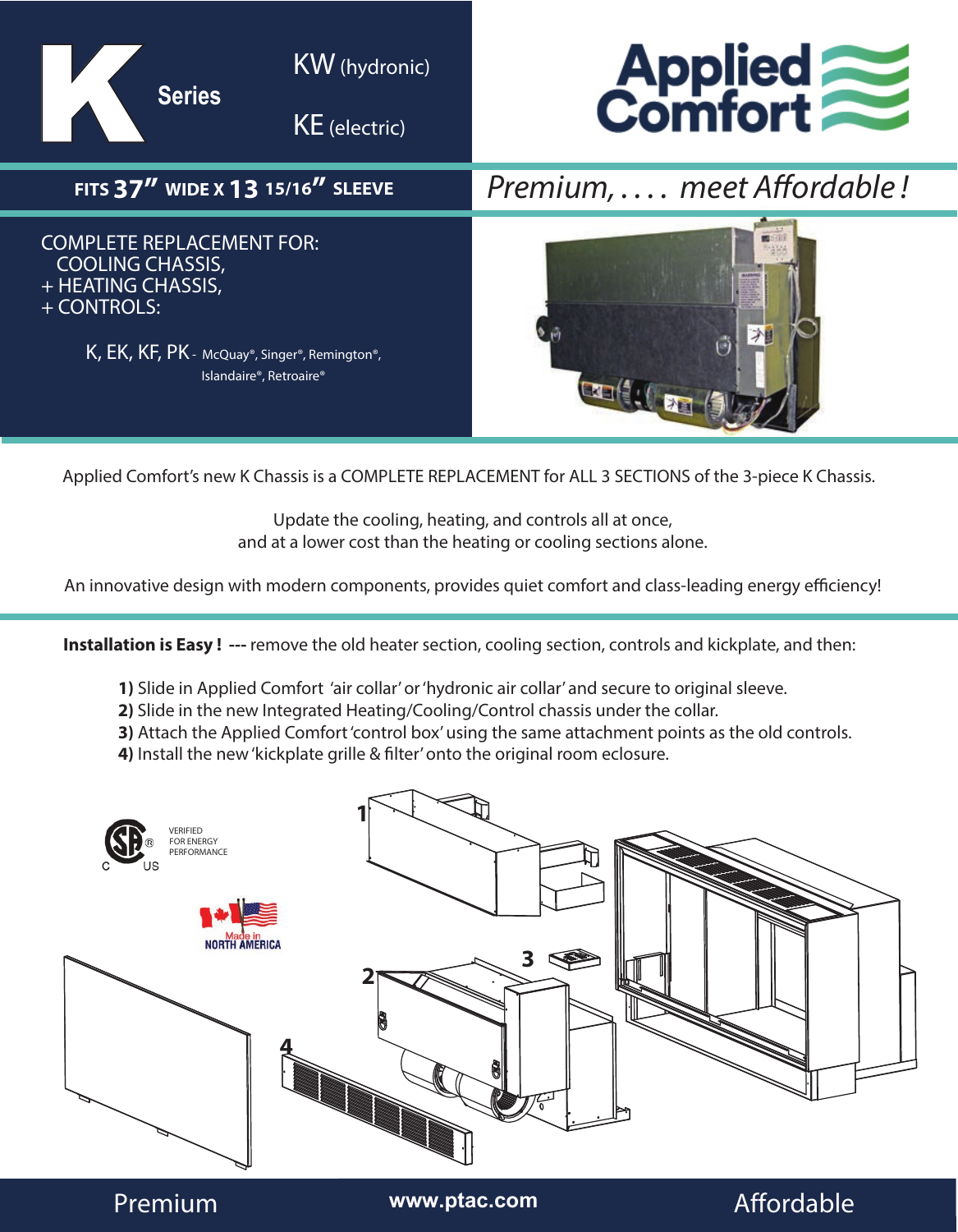

Applied Comfort's new K Chassis is a COMPLETE REPLACEMENT for ALL 3 SECTIONS of the 3-piece K Chassis.

Update the cooling, heating, and controls all at once, and at a lower cost than the heating or cooling sections alone.

An innovative design with modern components, provides quiet comfort and class-leading energy efficiency!

**Installation is Easy ! ---** remove the old heater section, cooling section, controls and kickplate, and then:

- **1)** Slide in Applied Comfort 'air collar' or 'hydronic air collar' and secure to original sleeve.
- **2)** Slide in the new Integrated Heating/Cooling/Control chassis under the collar.
- **3)** Attach the Applied Comfort 'control box' using the same attachment points as the old controls.
- **4)** Install the new 'kickplate grille & filter' onto the original room eclosure.



Premium **www.ptac.com** Affordable